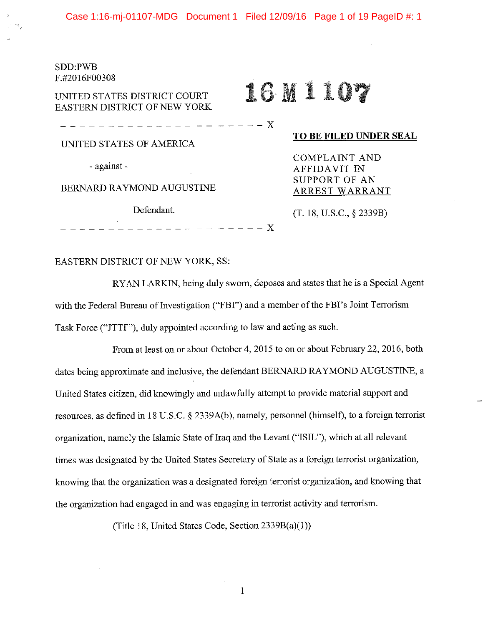$---x$ 

## SDD:PWB F.#2016F00308

UNITED STATES DISTRICT COURT EASTERN DISTRICT OF NEW YORK

# 16 M 11017

UNITED STATES OF AMERICA

\_ \_ \_ \_ \_ \_ \_ \_ \_ \_ \_ \_ \_ \_

- against -

BERNARD RAYMOND AUGUSTINE

Defendant.

-----------------X

### **TO BE FILED UNDER SEAL**

COMPLAINT AND AFFIDAVIT IN SUPPORT OF AN ARREST WARRANT

(T. 18, U.S.C., § 2339B)

EASTERN DISTRICT OF NEW YORK, SS:

RYAN LARKIN, being duly sworn, deposes and states that he is a Special Agent with the Federal Bureau of Investigation ("FBI") and a member of the FBI's Joint Terrorism Task Force ("JTTF"), duly appointed according to law and acting as such.

From at least on or about October 4, 2015 to on or about February 22, 2016, both dates being approximate and inclusive, the defendant BERNARD RAYMOND AUGUSTINE, a United States citizen, did knowingly and unlawfully attempt to provide material support and resources, as defined in 18 U.S.C. § 2339A(b), namely, personnel (himself), to a foreign terrorist organization, namely the Islamic State of Iraq and the Levant ("ISIL"), which at all relevant times was designated by the United States Secretary of State as a foreign terrorist organization, knowing that the organization was a designated foreign terrorist organization, and knowing that the organization had engaged in and was engaging in terrorist activity and terrorism.

(Title 18, United States Code, Section 2339B(a)(l))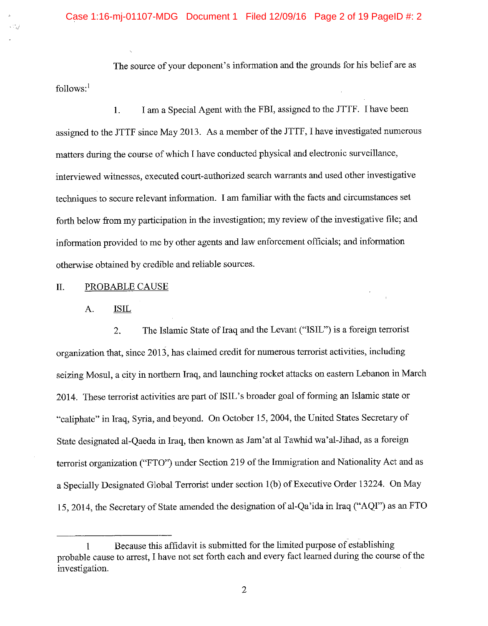The source of your deponent's information and the grounds for his belief are as follows:<sup>1</sup>

**1.** I am a Special Agent with the FBI, assigned to the JTTF. I have been assigned to the JTTF since May 2013. As a member of the JTTF, I have investigated numerous matters during the course of which I have conducted physical and electronic surveillance, interviewed witnesses, executed court-authorized search warrants and used other investigative techniques to secure relevant information. I am familiar with the facts and circumstances set forth below from my participation in the investigation; my review of the investigative file; and information provided to me by other agents and law enforcement officials; and information otherwise obtained by credible and reliable sources.

## **IL** PROBABLE CAUSE

A. ISIL

2. The Islamic State of Iraq and the Levant ("ISIL") is a foreign terrorist organization that, since 2013, has claimed credit for numerous terrorist activities, including seizing Mosul, a city in northern Iraq, and launching rocket attacks on eastern Lebanon in March 2014. These terrorist activities are part of ISIL's broader goal of forming an Islamic state or "caliphate" in Iraq, Syria, and beyond. On October 15, 2004, the United States Secretary of State designated al-Qaeda in Iraq, then known as Jam'at al Tawhid wa'al-Jihad, as a foreign terrorist organization ("FTO") under Section 219 of the Immigration and Nationality Act and as a Specially Designated Global Terrorist under section **1** (b) of Executive Order 13224. On May 15, 2014, the Secretary of State amended the designation of al-Qa'ida in Iraq ("AQI") as an FTO

<sup>1</sup> Because this affidavit is submitted for the limited purpose of establishing probable cause to arrest, I have not set forth each and every fact learned during the course of the investigation.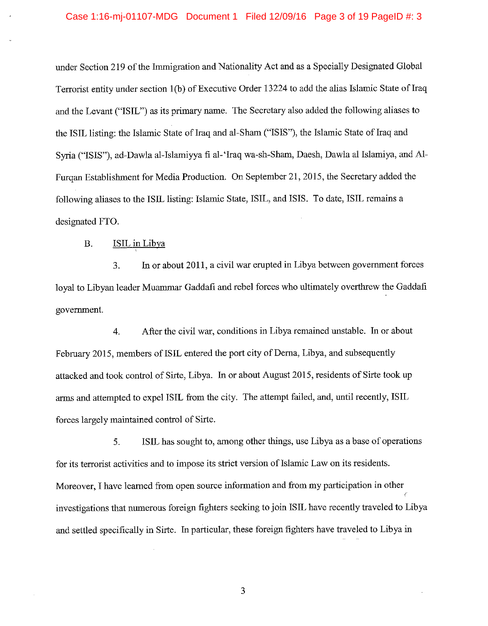under Section 219 of the Immigration and Nationality Act and as a Specially Designated Global Terrorist entity under section l(b) of Executive Order 13224 to add the alias Islamic State of Iraq and the Levant ("ISIL") as its primary name. The Secretary also added the following aliases to the ISIL listing: the Islamic State of Iraq and al-Sham ("ISIS"), the Islamic State of Iraq and Syria ("ISIS"), ad-Dawla al-Islamiyya fi al-'Iraq wa-sh-Sham, Daesh, Dawla al Islamiya, and Al-Furqan Establishment for Media Production. On September 21, 2015, the Secretary added the following aliases to the ISIL listing: Islamic State, ISIL, and ISIS. To date, ISIL remains a designated FTO.

B. ISIL in Libya

3. In or about 2011, a civil war erupted in Libya between government forces loyal to Libyan leader Muammar Gaddafi and rebel forces who ultimately overthrew the Gaddafi government.

4. After the civil war, conditions in Libya remained unstable. In or about February 2015, members of ISIL entered the port city of Derna, Libya, and subsequently attacked and took control of Sirte, Libya. In or about August 2015, residents of Sirte took up arms and attempted to expel ISIL from the city. The attempt failed, and, until recently, ISIL forces largely maintained control of Sirte.

5. ISIL has sought to, among other things, use Libya as a base of operations for its terrorist activities and to impose its strict version of Islamic Law on its residents. Moreover, I have learned from open source information and from my participation in other investigations that numerous foreign fighters seeking to join ISIL have recently traveled to Libya and settled specifically in Sirte. In particular, these foreign fighters have traveled to Libya in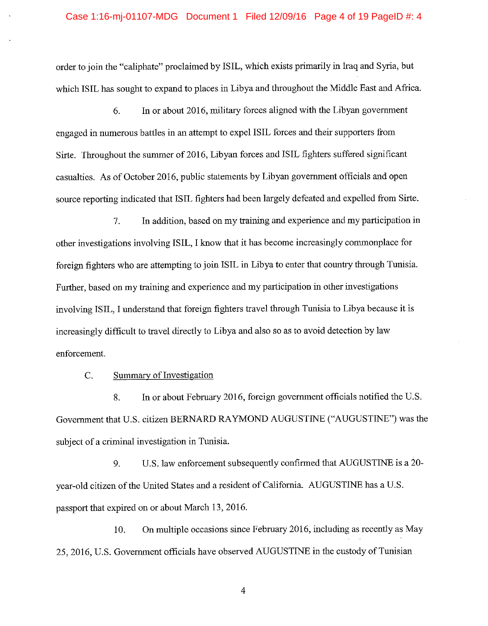#### Case 1:16-mj-01107-MDG Document 1 Filed 12/09/16 Page 4 of 19 PageID #: 4

order to join the "caliphate" proclaimed by ISIL, which exists primarily in Iraq and Syria, but which ISIL has sought to expand to places in Libya and throughout the Middle East and Africa.

6. In or about 2016, military forces aligned with the Libyan government engaged in numerous battles in an attempt to expel ISIL forces and their supporters from Sirte. Throughout the summer of 2016, Libyan forces and ISIL fighters suffered significant casualties. As of October 2016, public statements by Libyan government officials and open source reporting indicated that ISIL fighters had been largely defeated and expelled from Sirte.

7. In addition, based on my training and experience and my participation in other investigations involving ISIL, I know that it has become increasingly commonplace for foreign fighters who are attempting to join ISIL in Libya to enter that country through Tunisia. Further, based on my training and experience and my participation in other investigations involving ISIL, I understand that foreign fighters travel through Tunisia to Libya because it is increasingly difficult to travel directly to Libya and also so as to avoid detection by law enforcement.

#### C. Summary of Investigation

8. In or about February 2016, foreign government officials notified the U.S. Government that U.S. citizen BERNARD RAYMOND AUGUSTINE ("AUGUSTINE") was the subject of a criminal investigation in Tunisia.

9. U.S. law enforcement subsequently confirmed that AUGUSTINE is a 20 year-old citizen of the United States and a resident of California. AUGUSTINE has a U.S. passport that expired on or about March 13, 2016.

10. On multiple occasions since February 2016, including as recently as May 25, 2016, U.S. Government officials have observed AUGUSTINE in the custody of Tunisian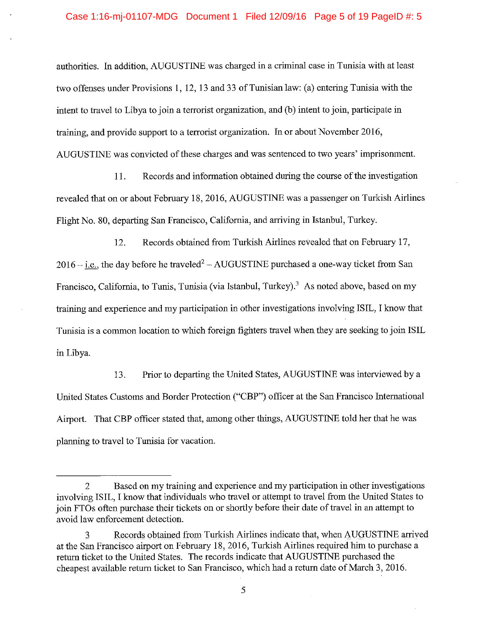authorities. In addition, AUGUSTINE was charged in a criminal case in Tunisia with at least two offenses under Provisions 1, 12, 13 and 33 of Tunisian law: (a) entering Tunisia with the intent to travel to Libya to join a terrorist organization, and (b) intent to join, participate in training, and provide support to a terrorist organization. In or about November 2016, AUGUSTINE was convicted of these charges and was sentenced to two years' imprisonment.

11. Records and information obtained during the course of the investigation revealed that on or about February 18, 2016, AUGUSTINE was a passenger on Turkish Airlines Flight No. 80, departing San Francisco, California, and arriving in Istanbul, Turkey.

12. Records obtained from Turkish Airlines revealed that on February 17,  $2016 - i.e.,$  the day before he traveled<sup>2</sup> - AUGUSTINE purchased a one-way ticket from San Francisco, California, to Tunis, Tunisia (via Istanbul, Turkey).<sup>3</sup> As noted above, based on my training and experience and my participation in other investigations involving ISIL, I know that Tunisia is a common location to which foreign fighters travel when they are seeking to join ISIL in Libya.

13. Prior to departing the United States, AUGUSTINE was interviewed by a United States Customs and Border Protection ("CBP") officer at the San Francisco International Airport. That CBP officer stated that, among other things, AUGUSTINE told her that he was planning to travel to Tunisia for vacation.

<sup>2</sup> Based on my training and experience and my participation in other investigations involving ISIL, I know that individuals who travel or attempt to travel from the United States to join FTOs often purchase their tickets on or shortly before their date of travel in an attempt to avoid law enforcement detection.

<sup>3</sup> Records obtained from Turkish Airlines indicate that, when AUGUSTINE arrived at the San Francisco airport on February 18, 2016, Turkish Airlines required him to purchase a return ticket to the United States. The records indicate that AUGUSTINE purchased the cheapest available return ticket to San Francisco, which had a return date of March 3, 2016.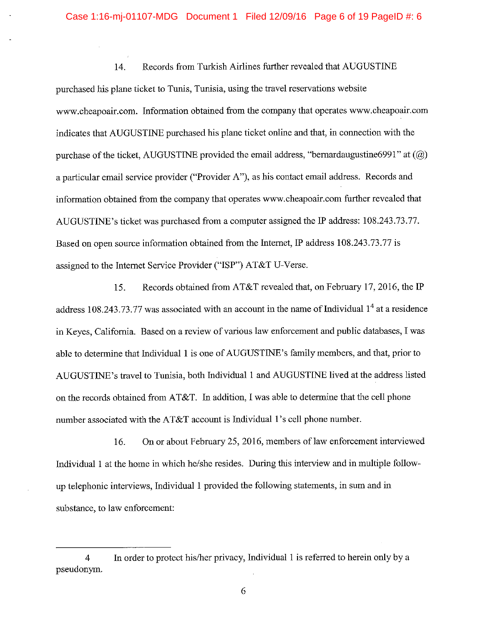14. Records from Turkish Airlines further revealed that AUGUSTINE purchased his plane ticket to Tunis, Tunisia, using the travel reservations website www.cheapoair.com. Information obtained from the company that operates www.cheapoair.com indicates that AUGUSTINE purchased his plane ticket online and that, in connection with the purchase of the ticket, AUGUSTINE provided the email address, "bernardaugustine6991" at  $(Q)$ a particular email service provider ("Provider A"), as his contact email address. Records and information obtained from the company that operates www.cheapoair.com further revealed that AUGUSTINE's ticket was purchased from a computer assigned the IP address: 108.243.73.77. Based on open source information obtained from the Internet, IP address 108.243.73.77 is assigned to the Internet Service Provider ("ISP") AT&T U-Verse.

15. Records obtained from AT&T revealed that, on February 17, 2016, the IP address 108.243.73.77 was associated with an account in the name of Individual  $1<sup>4</sup>$  at a residence in Keyes, California. Based on a review of various law enforcement and public databases, I was able to determine that Individual 1 is one of AUGUSTINE's family members, and that, prior to AUGUSTINE's travel to Tunisia, both Individual 1 and AUGUSTINE lived at the address listed on the records obtained from AT&T. In addition, I was able to determine that the cell phone number associated with the AT&T account is Individual 1's cell phone number.

16. On or about February 25, 2016, members of law enforcement interviewed Individual 1 at the home in which he/she resides. During this interview and in multiple followup telephonic interviews, Individual 1 provided the following statements, in sum and in substance, to law enforcement:

<sup>4</sup> In order to protect his/her privacy, Individual 1 is referred to herein only by a pseudonym.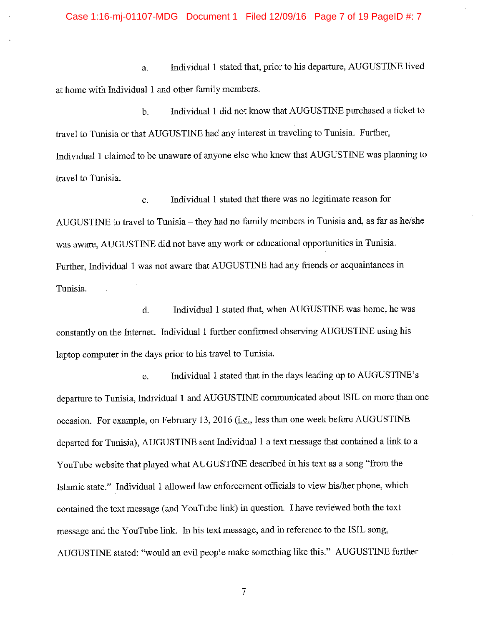a. Individual I stated that, prior to his departure, AUGUSTINE lived at home with Individual 1 and other family members.

b. Individual 1 did not know that AUGUSTINE purchased a ticket to travel to Tunisia or that AUGUSTINE had any interest in traveling to Tunisia. Further, Individual 1 claimed to be unaware of anyone else who knew that AUGUSTINE was planning to travel to Tunisia.

c. Individual 1 stated that there was no legitimate reason for AUGUSTINE to travel to Tunisia - they had no family members in Tunisia and, as far as he/she was aware, AUGUSTINE did not have any work or educational opportunities in Tunisia. Further, Individual 1 was not aware that AUGUSTINE had any friends or acquaintances in Tunisia.

d. Individual 1 stated that, when AUGUSTINE was home, he was constantly on the Internet. Individual 1 further confirmed observing AUGUSTINE using his laptop computer in the days prior to his travel to Tunisia.

e. Individual 1 stated that in the days leading up to AUGUSTINE's departure to Tunisia, Individual 1 and AUGUSTINE communicated about ISIL on more than one occasion. For example, on February 13, 2016 (i.e., less than one week before AUGUSTINE departed for Tunisia), AUGUSTINE sent Individual 1 a text message that contained a link to a YouTube website that played what AUGUSTINE described in his text as a song "from the Islamic state." Individual 1 allowed law enforcement officials to view his/her phone, which contained the text message (and YouTube link) in question. I have reviewed both the text message and the Y ouTube link. In his text message, and in reference to the ISIL song, AUGUSTINE stated: "would an evil people make something like this." AUGUSTINE further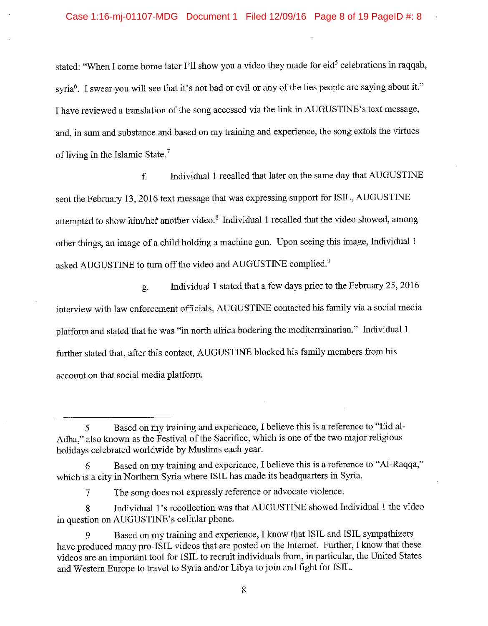stated: "When I come home later I'll show you a video they made for eid<sup>5</sup> celebrations in raqqah, syria<sup>6</sup>. I swear you will see that it's not bad or evil or any of the lies people are saying about it." I have reviewed a translation of the song accessed via the link in AUGUSTINE's text message, and, in sum and substance and based on my training and experience, the song extols the virtues of living in the Islamic State.<sup>7</sup>

f. Individual 1 recalled that later on the same day that AUGUSTINE sent the February 13, 2016 text message that was expressing support for ISIL, AUGUSTINE attempted to show him/her another video.<sup>8</sup> Individual 1 recalled that the video showed, among other things, an image of a child holding a machine gun. Upon seeing this image, Individual 1 asked AUGUSTINE to turn off the video and AUGUSTINE complied.<sup>9</sup>

g. Individual 1 stated that a few days prior to the February 25, 2016 interview with law enforcement officials, AUGUSTINE contacted his family via a social media platform and stated that he was "in north africa bodering the mediterrainarian." Individual 1 further stated that, after this contact, AUGUSTINE blocked his family members from his account on that social media platform.

<sup>5</sup> Based on my training and experience, I believe this is a reference to "Eid al-Adha," also known as the Festival of the Sacrifice, which is one of the two major religious holidays celebrated worldwide by Muslims each year.

<sup>6</sup> Based on my training and experience, I believe this is a reference to "Al-Raqqa," which is a city in Northern Syria where ISIL has made its headquarters in Syria.

<sup>7</sup> The song does not expressly reference or advocate violence.

<sup>8</sup> Individual 1's recollection was that AUGUSTINE showed Individual 1 the video in question on AUGUSTINE's cellular phone.

<sup>9</sup> Based on my training and experience, I know that ISIL and ISIL sympathizers have produced many pro-ISIL videos that are posted on the Internet. Further, I know that these videos are an important tool for ISIL to recruit individuals from, in particular, the United States and Western Europe to travel to Syria and/or Libya to join and fight for ISIL.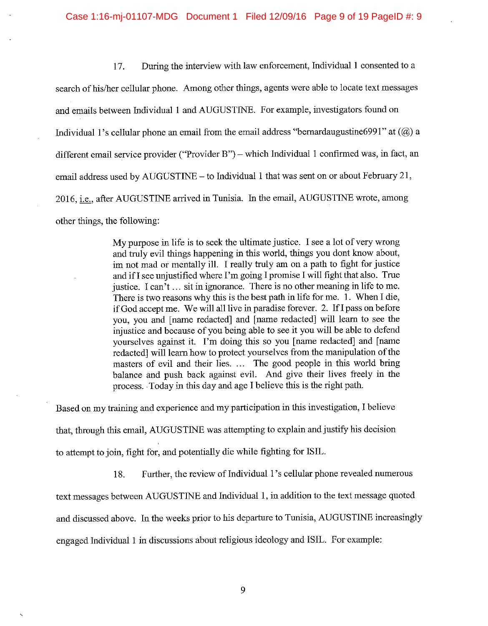17. During the interview with law enforcement, Individual 1 consented to a search of his/her cellular phone. Among other things, agents were able to locate text messages and emails between Individual 1 and AUGUSTINE. For example, investigators found on Individual 1's cellular phone an email from the email address "bernardaugustine6991" at  $(Q)$  a different email service provider ("Provider B") – which Individual 1 confirmed was, in fact, an email address used by AUGUSTINE-to Individual I that was sent on or about February 21, 2016, i.e., after AUGUSTINE arrived in Tunisia. In the email, AUGUSTINE wrote, among other things, the following:

> My purpose in life is to seek the ultimate justice. I see a lot of very wrong and truly evil things happening in this world, things you dont know about, im not mad or mentally ill. I really truly am on a path to fight for justice and ifl see unjustified where I'm going I promise I will fight that also. True justice. I can't ... sit in ignorance. There is no other meaning in life to me. There is two reasons why this is the best path in life for me. 1. When I die, if God accept me. We will all live in paradise forever. 2. Ifl pass on before you, you and [ name redacted] and [name redacted] will learn to see the injustice and because of you being able to see it you will be able to defend yourselves against it. I'm doing this so you [ name redacted] and [ name redacted] will learn how to protect yourselves from the manipulation of the masters of evil and their lies. ... The good people in this world bring balance and push back against evil. And give their lives freely in the process .. Today in this day and age I believe this is the right path.

Based on my training and experience and my participation in this investigation, I believe that, through this email, AUGUSTINE was attempting to explain and justify his decision to attempt to join, fight for, and potentially die while fighting for ISIL.

18. Further, the review of Individual 1 's cellular phone revealed numerous

text messages between AUGUSTINE and Individual 1, in addition to the text message quoted

and discussed above. In the weeks prior to his departure to Tunisia, AUGUSTINE increasingly

engaged Individual 1 in discussions about religious ideology and ISH. For example: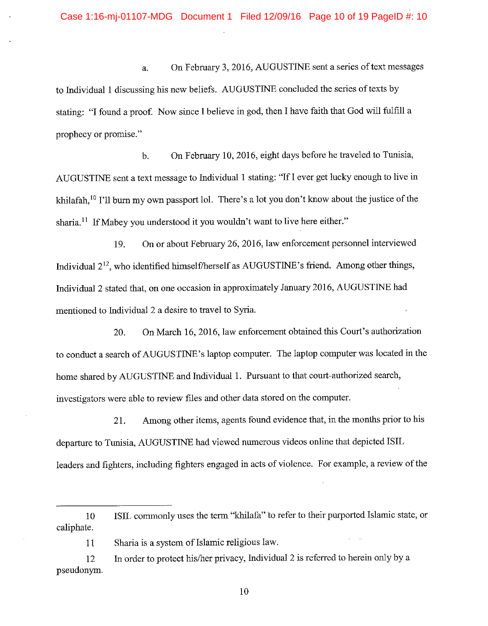a. On February 3, 2016, AUGUSTINE sent a series of text messages to Individual 1 discussing his new beliefs. AUGUSTINE concluded the series of texts by stating: "I found a proof. Now since I believe in god, then I have faith that God will fulfill a prophecy or promise."

b. On February 10, 2016, eight days before he traveled to Tunisia, AUGUSTINE sent a text message to Individual 1 stating: "If I ever get lucky enough to live in khilafah, <sup>10</sup> I'll burn my own passport lol. There's a lot you don't know about the justice of the sharia.<sup>11</sup> If Mabey you understood it you wouldn't want to live here either."

19. On or about February 26, 2016, law enforcement personnel interviewed Individual  $2^{12}$ , who identified himself/herself as AUGUSTINE's friend. Among other things, Individual 2 stated that, on one occasion in approximately January 2016, AUGUSTINE had mentioned to Individual 2 a desire to travel to Syria.

20. On March 16, 2016, law enforcement obtained this Court's authorization to conduct a search of AUGUSTINE's laptop computer. The laptop computer was located in the home shared by AUGUSTINE and Individual 1. Pursuant to that court-authorized search, investigators were able to review files and other data stored on the computer.

21. Among other items, agents found evidence that, in the months prior to his departure to Tunisia, AUGUSTINE had viewed numerous videos online that depicted ISIL leaders and fighters, including fighters engaged in acts of violence. For example, a review of the

11 Sharia is a system of Islamic religious law.

12 In order to protect his/her privacy, Individual 2 is referred to herein only by a pseudonym.

IO ISIL commonly uses the term "khilafa" to refer to their purported Islamic state, or caliphate.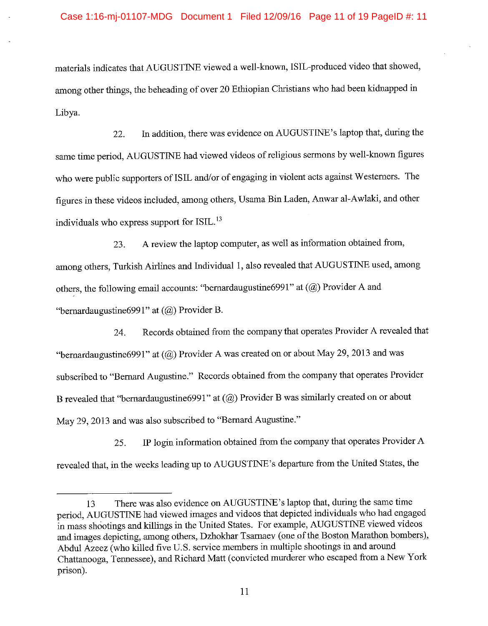materials indicates that AUGUSTINE viewed a well-known, !SIL-produced video that showed, among other things, the beheading of over 20 Ethiopian Christians who had been kidnapped in Libya.

22. In addition, there was evidence on AUGUSTINE's laptop that, during the same time period, AUGUSTINE had viewed videos of religious sermons by well-known figures who were public supporters of ISIL and/or of engaging in violent acts against Westerners. The figures in these videos included, among others, Usama Bin Laden, Anwar al-Awlaki, and other individuals who express support for ISIL.<sup>13</sup>

23. A review the laptop computer, as well as information obtained from, among others, Turkish Airlines and Individual 1, also revealed that AUGUSTINE used, among others, the following email accounts: "bernardaugustine6991" at(@) Provider A and "bernardaugustine 6991" at  $(Q)$  Provider B.

24. Records obtained from the company that operates Provider A revealed that "bernardaugustine6991" at  $(Q)$  Provider A was created on or about May 29, 2013 and was subscribed to "Bernard Augustine." Records obtained from the company that operates Provider B revealed that "bernardaugustine6991" at  $(Q)$  Provider B was similarly created on or about May 29, 2013 and was also subscribed to "Bernard Augustine."

25. IP login information obtained from the company that operates Provider A revealed that, in the weeks leading up to AUGUSTINE's departure from the United States, the

<sup>13</sup> There was also evidence on AUGUSTINE's laptop that, during the same time period, AUGUSTINE had viewed images and videos that depicted individuals who had engaged in mass shootings and killings in the United States. For example, AUGUSTINE viewed videos and images depicting, among others, Dzhokhar Tsarnaev (one of the Boston Marathon bombers), Abdul Azeez (who killed five U.S. service members in multiple shootings in and around Chattanooga, Tennessee), and Richard Matt ( convicted murderer who escaped from a New York prison).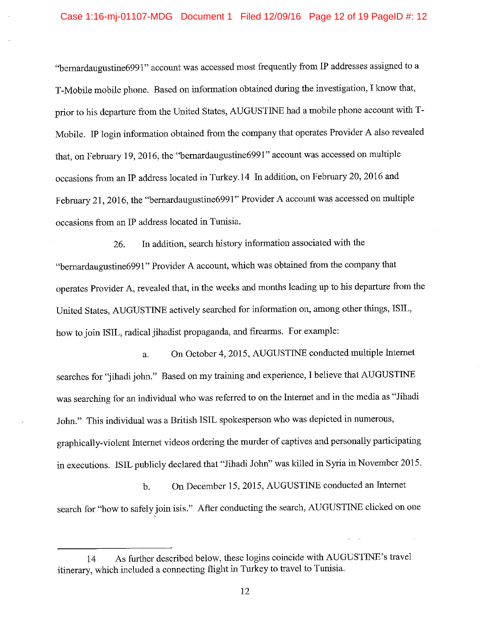"bernardaugustine6991" account was accessed most frequently from IP addresses assigned to a T-Mobile mobile phone. Based on information obtained during the investigation, I know that, prior to his departure from the United States, AUGUSTINE had a mobile phone account with T-Mobile. IP login information obtained from the company that operates Provider A also revealed that, on February 19, 2016, the "bernardaugustine6991" account was accessed on multiple occasions from an IP address located in Turkey.14 In addition, on February 20, 2016 and February 21, 2016, the "bernardaugustine6991" Provider A account was accessed on multiple occasions from an IP address located in Tunisia.

26. In addition, search history information associated with the "bernardaugustine6991" Provider A account, which was obtained from the company that operates Provider A, revealed that, in the weeks and months leading up to his departure from the United States, AUGUSTINE actively searched for information on, among other things, ISIL, how to join ISIL, radical jihadist propaganda, and firearms. For example:

a. On October 4, 2015, AUGUSTINE conducted multiple Internet searches for 'jihadi john." Based on my training and experience, I believe that AUGUSTINE was searching for an individual who was referred to on the Internet and in the media as "Jihadi John." This individual was a British ISIL spokesperson who was depicted in numerous, graphically-violent Internet videos ordering the murder of captives and personally participating in executions. ISIL publicly declared that "Jihadi John" was killed in Syria in November 2015.

b. On December 15, 2015, AUGUSTINE conducted an Internet search for "how to safely join isis." After conducting the search, AUGUSTINE clicked on one

<sup>14</sup> As further described below, these logins coincide with AUGUSTINE's travel itinerary, which included a connecting flight in Turkey to travel to Tunisia.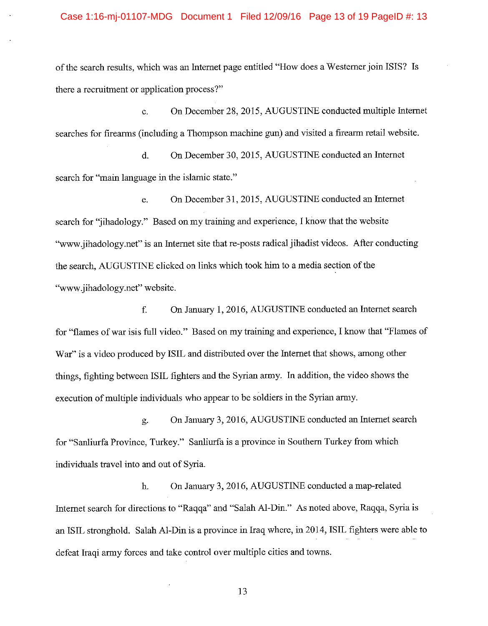of the search results, which was an Internet page entitled "How does a Westerner join ISIS? Is there a recruitment or application process?"

c. On December 28, 2015, AUGUSTINE conducted multiple Internet searches for firearms (including a Thompson machine gun) and visited a firearm retail website.

d. On December 30, 2015, AUGUSTINE conducted an Internet search for "main language in the islamic state."

e. On December 31, 2015, AUGUSTINE conducted an Internet search for "jihadology." Based on my training and experience, I know that the website "www.jihadology.net" is an Internet site that re-posts radical jihadist videos. After conducting the search, AUGUSTINE clicked on links which took him to a media section of the "www.jihadology.net" website.

f. On January 1, 2016, AUGUSTINE conducted an Internet search for "flames of war isis full video." Based on my training and experience, I know that "Flames of War" is a video produced by ISIL and distributed over the Internet that shows, among other things, fighting between ISIL fighters and the Syrian army. In addition, the video shows the execution of multiple individuals who appear to be soldiers in the Syrian army.

g. On January 3, 2016, AUGUSTINE conducted an Internet search for "Sanliurfa Province, Turkey." Sanliurfa is a province in Southern Turkey from which individuals travel into and out of Syria.

h. On January 3, 2016, AUGUSTINE conducted a map-related Internet search for directions to "Raqqa" and "Salah Al-Din." As noted above, Raqqa, Syria is an ISIL stronghold. Salah Al-Din is a province in Iraq where, in 2014, ISIL fighters were able to defeat Iraqi army forces and take control over multiple cities and towns.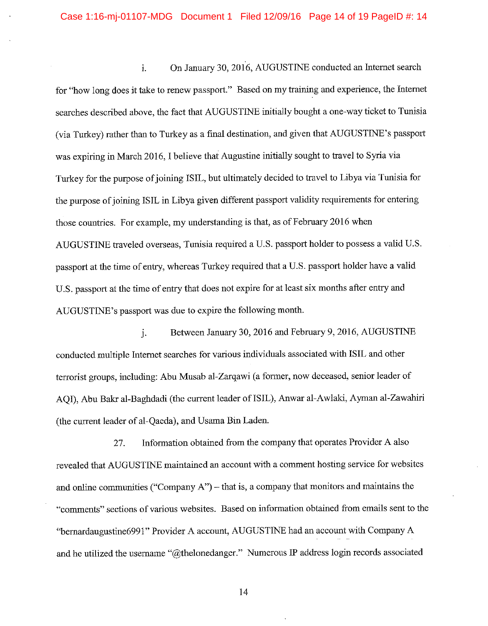1. On January 30, 2016, AUGUSTINE conducted an Internet search for "how long does it take to renew passport." Based on my training and experience, the Internet searches described above, the fact that AUGUSTINE initially bought a one-way ticket to Tunisia (via Turkey) rather than to Turkey as a final destination, and given that AUGUSTINE's passport was expiring in March 2016, I believe that Augustine initially sought to travel to Syria via Turkey for the purpose of joining ISIL, but ultimately decided to travel to Libya via Tunisia for the purpose of joining ISIL in Libya given different passport validity requirements for entering those countries. For example, my understanding is that, as of February 2016 when AUGUSTINE traveled overseas, Tunisia required a U.S. passport holder to possess a valid U.S. passport at the time of entry, whereas Turkey required that a U.S. passport holder have a valid U.S. passport at the time of entry that does not expire for at least six months after entry and AUGUSTINE's passport was due to expire the following month.

j. Between January 30, 2016 and February 9, 2016, AUGUSTINE conducted multiple Internet searches for various individuals associated with ISIL and other terrorist groups, including: Abu Musab al-Zarqawi (a former, now deceased, senior leader of AQI), Abu Bakr al-Baghdadi (the current leader of ISIL), Anwar al-Awlaki, Ayman al-Zawahiri (the current leader of al-Qaeda), and Usama Bin Laden.

27. Information obtained from the company that operates Provider A also revealed that AUGUSTINE maintained an account with a comment hosting service for websites and online communities ("Company A") – that is, a company that monitors and maintains the "comments" sections of various websites. Based on information obtained from emails sent to the "bernardaugustine6991" Provider A account, AUGUSTINE had an account with Company A and he utilized the username "@thelonedanger." Numerous IP address login records associated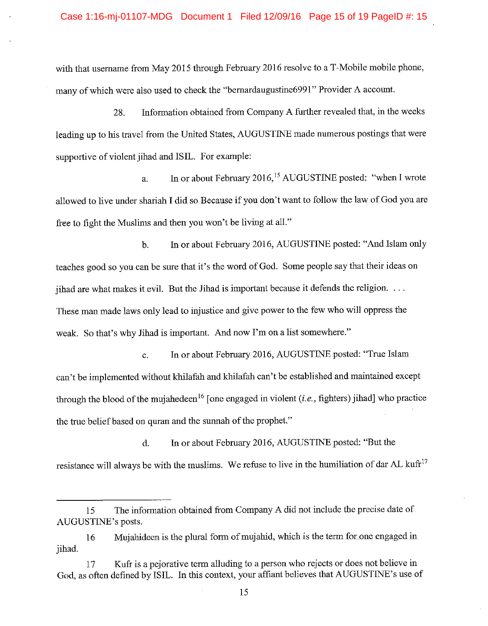with that usemame from May 2015 through February 2016 resolve to a T-Mobile mobile phone, many of which were also used to check the "bernardaugustine6991" Provider A account.

28. Information obtained from Company A further revealed that, in the weeks leading up to his travel from the United States, AUGUSTINE made numerous postings that were supportive of violent jihad and ISIL. For example:

a. In or about February 2016, 15 AUGUSTINE posted: "when I wrote allowed to live under shariah I did so Because if you don't want to follow the law of God you are free to fight the Muslims and then you won't be living at all."

b. In or about February 2016, AUGUSTINE posted: "And Islam only teaches good so you can be sure that it's the word of God. Some people say that their ideas on jihad are what makes it evil. But the Jihad is important because it defends the religion. ... These man made laws only lead to injustice and give power to the few who will oppress the weak. So that's why Jihad is important. And now I'm on a list somewhere."

c. In or about February 2016, AUGUSTINE posted: "True Islam can't be implemented without khilafah and khilafah can't be established and maintained except through the blood of the mujahedeen 16 [ one engaged in violent *(i.e.,* fighters) jihad] who practice the true belief based on quran and the sunnah of the prophet."

d. In or about February 2016,AUGUSTINE posted: "But the resistance will always be with the muslims. We refuse to live in the humiliation of dar AL kufr<sup>17</sup>

<sup>15</sup> The information obtained from Company A did not include the precise date of AUGUSTINE's posts.

<sup>16</sup> Mujahideen is the plural form of mujahid, which is the term forone engaged in jihad.

<sup>17</sup> Kufr is a pejorative term alluding to a person who rejects or does not believe in God, as often defined by ISIL. In this context, your affiant believes that AUGUSTINE's use of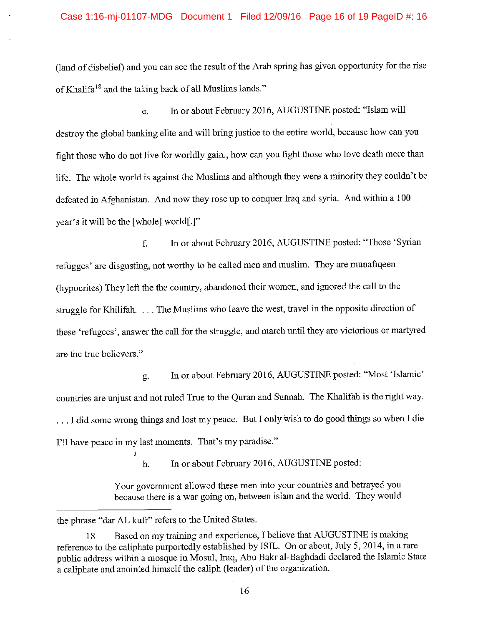(land of disbelief) and you can see the result of the Arab spring has given opportunity for the rise ofKhalifa18 and the taking back of all Muslims lands."

e. In or about February 2016, AUGUSTINE posted: "Islam will destroy the global banking elite and will bring justice to the entire world, because how can you fight those who do not live for worldly gain., how can you fight those who love death more than life. The whole world is against the Muslims and although they were a minority they couldn't be defeated in Afghanistan. And now they rose up to conquer Iraq and syria. And within a 100 year's it will be the [whole] world[.]"

f. In or about February 2016, AUGUSTINE posted: "Those 'Syrian refugges' are disgusting, not worthy to be called men and muslim. They are munafiqeen (hypocrites) They left the the country, abandoned their women, and ignored the call to the struggle for Khilifah. . .. The Muslims who leave the west, travel in the opposite direction of these 'refugees', answer the call for the struggle, and march until they are victorious or martyred are the true believers."

g. In or about February 2016, AUGUSTINE posted: "Most 'Islamic' countries are unjust and not ruled True to the Quran and Sunnah. The Khalifah is the right way . ... I did some wrong things and lost my peace. But I only wish to do good things so when I die I'll have peace in my last moments. That's my paradise."

h. In or about February 2016, AUGUSTINE posted:

Your government allowed these men into your countries and betrayed you because there is a war going on, between islam and the world. They would

the phrase "dar AL kufr" refers to the United States.

<sup>18</sup> Based on my training and experience, I believe that AUGUSTINE is making reference to the caliphate purportedly established by ISIL. On or about, July 5, 2014, in a rare public address within a mosque in Mosul, Iraq, Abu Bakr al-Baghdadi declared the Islamic State a caliphate and anointed himself the caliph (leader) of the organization.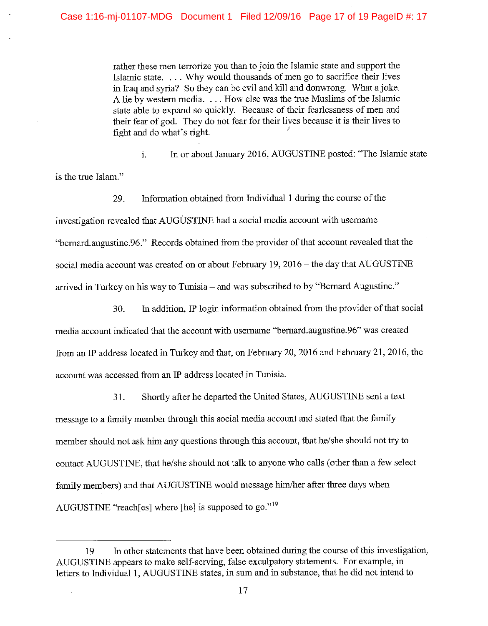rather these men terrorize you than to join the Islamic state and support the Islamic state. . .. Why would thousands of men go to sacrifice their lives in Iraq and syria? So they can be evil and kill and donwrong. What a joke. A lie by western media. . .. How else was the true Muslims of the Islamic state able to expand so quickly. Because of their fearlessness of men and their fear of god. They do not fear for their lives because it is their lives to fight and do what's right. '

1. In or about January 2016, AUGUSTINE posted: "The Islamic state

is the true Islam."

29. Information obtained from Individual I during the course of the investigation revealed that AUGUSTINE had a social media account with usemame "bemard.augustine.96." Records obtained from the provider of that account revealed that the social media account was created on or about February 19, 2016 - the day that AUGUSTINE arrived in Turkey on his way to Tunisia – and was subscribed to by "Bernard Augustine."

30. In addition, IP login information obtained from the provider of that social media account indicated that the account with usemame "bemard.augustine.96" was created from an IP address located in Turkey and that, on February 20, 2016 and February 21, 2016, the account was accessed from an IP address located in Tunisia.

31. Shortly after he departed the United States, AUGUSTINE sent a text message to a family member through this social media account and stated that the family member should not ask him any questions through this account, that he/she should not try to contact AUGUSTINE, that he/she should not talk to anyone who calls ( other than a few select family members) and that AUGUSTINE would message him/her after three days when AUGUSTINE "reach[es] where [he] is supposed to go."<sup>19</sup>

<sup>19</sup> In other statements that have been obtained during the course of this investigation, AUGUSTINE appears to make self-serving, false exculpatory statements. For example, in letters to Individual I, AUGUSTINE states, in sum and in substance, that he did not intend to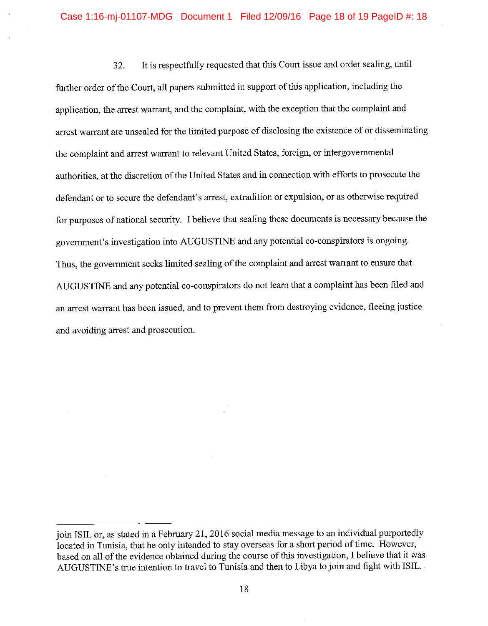32. It is respectfully requested that this Court issue and order sealing, until further order of the Court, all papers submitted in support of this application, including the application, the arrest warrant, and the complaint, with the exception that the complaint and arrest warrant are unsealed for the limited purpose of disclosing the existence of or disseminating the complaint and arrest warrant to relevant United States, foreign, or intergovernmental authorities, at the discretion of the United States and in connection with efforts to prosecute the defendant or to secure the defendant's arrest, extradition or expulsion, or as otherwise required for purposes of national security. I believe that sealing these documents is necessary because the government's investigation into AUGUSTINE and any potential co-conspirators is ongoing. Thus, the government seeks limited sealing of the complaint and arrest warrant to ensure that AUGUSTINE and any potential co-conspirators do not learn that a complaint has been filed and an arrest warrant has been issued, and to prevent them from destroying evidence, fleeing justice and avoiding arrest and prosecution.

join ISIL or, as stated in a February 21, 2016 social media message to an individual purportedly located in Tunisia, that he only intended to stay overseas for a short period of time. However, based on all of the evidence obtained during the course of this investigation, I believe that it was AUGUSTINE's true intention to travel to Tunisia and then to Libya to join and fight with ISIL.